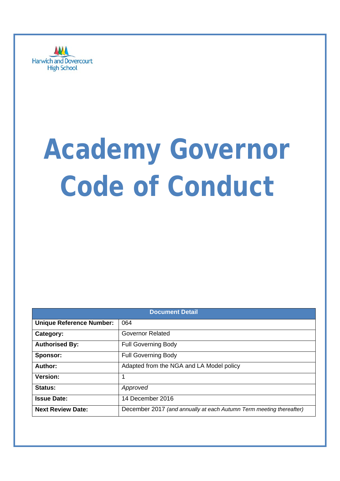

# **Academy Governor Code of Conduct**

| <b>Document Detail</b>          |                                                                     |  |  |
|---------------------------------|---------------------------------------------------------------------|--|--|
| <b>Unique Reference Number:</b> | 064                                                                 |  |  |
| Category:                       | <b>Governor Related</b>                                             |  |  |
| <b>Authorised By:</b>           | <b>Full Governing Body</b>                                          |  |  |
| Sponsor:                        | <b>Full Governing Body</b>                                          |  |  |
| Author:                         | Adapted from the NGA and LA Model policy                            |  |  |
| Version:                        |                                                                     |  |  |
| Status:                         | Approved                                                            |  |  |
| <b>Issue Date:</b>              | 14 December 2016                                                    |  |  |
| <b>Next Review Date:</b>        | December 2017 (and annually at each Autumn Term meeting thereafter) |  |  |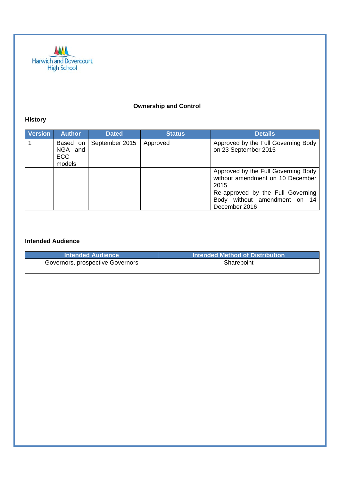

## **Ownership and Control**

## **History**

| <b>Version</b> | <b>Author</b>                        | <b>Dated</b>   | <b>Status</b> | <b>Details</b>                                                                     |
|----------------|--------------------------------------|----------------|---------------|------------------------------------------------------------------------------------|
|                | Based on<br>NGA and<br>ECC<br>models | September 2015 | Approved      | Approved by the Full Governing Body<br>on 23 September 2015                        |
|                |                                      |                |               | Approved by the Full Governing Body<br>without amendment on 10 December<br>2015    |
|                |                                      |                |               | Re-approved by the Full Governing<br>Body without amendment on 14<br>December 2016 |

#### **Intended Audience**

| <b>Intended Audience</b>         | Intended Method of Distribution |  |
|----------------------------------|---------------------------------|--|
| Governors, prospective Governors | Sharepoint                      |  |
|                                  |                                 |  |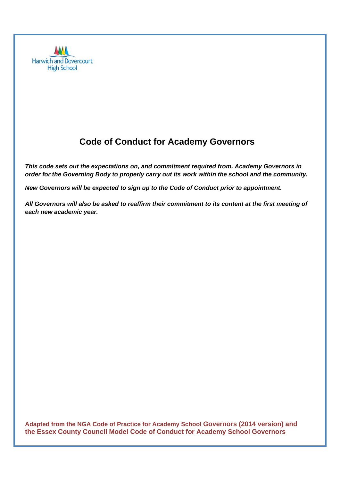

## **Code of Conduct for Academy Governors**

*This code sets out the expectations on, and commitment required from, Academy Governors in order for the Governing Body to properly carry out its work within the school and the community.* 

*New Governors will be expected to sign up to the Code of Conduct prior to appointment.* 

*All Governors will also be asked to reaffirm their commitment to its content at the first meeting of each new academic year.* 

**Adapted from the NGA Code of Practice for Academy School Governors (2014 version) and the Essex County Council Model Code of Conduct for Academy School Governors**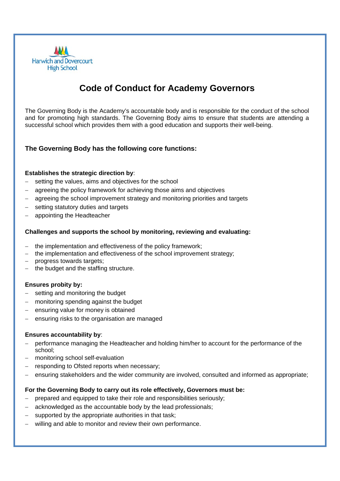

# **Code of Conduct for Academy Governors**

The Governing Body is the Academy's accountable body and is responsible for the conduct of the school and for promoting high standards. The Governing Body aims to ensure that students are attending a successful school which provides them with a good education and supports their well-being.

#### **The Governing Body has the following core functions:**

#### **Establishes the strategic direction by**:

- setting the values, aims and objectives for the school
- agreeing the policy framework for achieving those aims and objectives
- agreeing the school improvement strategy and monitoring priorities and targets
- setting statutory duties and targets
- appointing the Headteacher

#### **Challenges and supports the school by monitoring, reviewing and evaluating:**

- the implementation and effectiveness of the policy framework;
- the implementation and effectiveness of the school improvement strategy;
- progress towards targets;
- the budget and the staffing structure.

#### **Ensures probity by:**

- setting and monitoring the budget
- monitoring spending against the budget
- ensuring value for money is obtained
- ensuring risks to the organisation are managed

#### **Ensures accountability by**:

- performance managing the Headteacher and holding him/her to account for the performance of the school;
- monitoring school self-evaluation
- responding to Ofsted reports when necessary;
- ensuring stakeholders and the wider community are involved, consulted and informed as appropriate;

#### **For the Governing Body to carry out its role effectively, Governors must be:**

- prepared and equipped to take their role and responsibilities seriously;
- acknowledged as the accountable body by the lead professionals;
- supported by the appropriate authorities in that task;
- willing and able to monitor and review their own performance.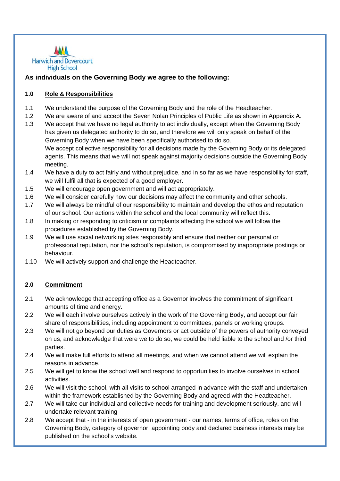

#### **As individuals on the Governing Body we agree to the following:**

#### **1.0 Role & Responsibilities**

- 1.1 We understand the purpose of the Governing Body and the role of the Headteacher.
- 1.2 We are aware of and accept the Seven Nolan Principles of Public Life as shown in Appendix A.
- 1.3 We accept that we have no legal authority to act individually, except when the Governing Body has given us delegated authority to do so, and therefore we will only speak on behalf of the Governing Body when we have been specifically authorised to do so. We accept collective responsibility for all decisions made by the Governing Body or its delegated agents. This means that we will not speak against majority decisions outside the Governing Body meeting.
- 1.4 We have a duty to act fairly and without prejudice, and in so far as we have responsibility for staff, we will fulfil all that is expected of a good employer.
- 1.5 We will encourage open government and will act appropriately.
- 1.6 We will consider carefully how our decisions may affect the community and other schools.
- 1.7 We will always be mindful of our responsibility to maintain and develop the ethos and reputation of our school. Our actions within the school and the local community will reflect this.
- 1.8 In making or responding to criticism or complaints affecting the school we will follow the procedures established by the Governing Body.
- 1.9 We will use social networking sites responsibly and ensure that neither our personal or professional reputation, nor the school's reputation, is compromised by inappropriate postings or behaviour.
- 1.10 We will actively support and challenge the Headteacher.

#### **2.0 Commitment**

- 2.1 We acknowledge that accepting office as a Governor involves the commitment of significant amounts of time and energy.
- 2.2 We will each involve ourselves actively in the work of the Governing Body, and accept our fair share of responsibilities, including appointment to committees, panels or working groups.
- 2.3 We will not go beyond our duties as Governors or act outside of the powers of authority conveyed on us, and acknowledge that were we to do so, we could be held liable to the school and /or third parties.
- 2.4 We will make full efforts to attend all meetings, and when we cannot attend we will explain the reasons in advance.
- 2.5 We will get to know the school well and respond to opportunities to involve ourselves in school activities.
- 2.6 We will visit the school, with all visits to school arranged in advance with the staff and undertaken within the framework established by the Governing Body and agreed with the Headteacher.
- 2.7 We will take our individual and collective needs for training and development seriously, and will undertake relevant training
- 2.8 We accept that in the interests of open government our names, terms of office, roles on the Governing Body, category of governor, appointing body and declared business interests may be published on the school's website.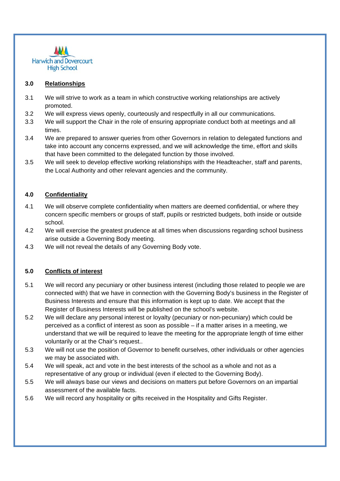

#### **3.0 Relationships**

- 3.1 We will strive to work as a team in which constructive working relationships are actively promoted.
- 3.2 We will express views openly, courteously and respectfully in all our communications.
- 3.3 We will support the Chair in the role of ensuring appropriate conduct both at meetings and all times.
- 3.4 We are prepared to answer queries from other Governors in relation to delegated functions and take into account any concerns expressed, and we will acknowledge the time, effort and skills that have been committed to the delegated function by those involved.
- 3.5 We will seek to develop effective working relationships with the Headteacher, staff and parents, the Local Authority and other relevant agencies and the community.

#### **4.0 Confidentiality**

- 4.1 We will observe complete confidentiality when matters are deemed confidential, or where they concern specific members or groups of staff, pupils or restricted budgets, both inside or outside school.
- 4.2 We will exercise the greatest prudence at all times when discussions regarding school business arise outside a Governing Body meeting.
- 4.3 We will not reveal the details of any Governing Body vote.

#### **5.0 Conflicts of interest**

- 5.1 We will record any pecuniary or other business interest (including those related to people we are connected with) that we have in connection with the Governing Body's business in the Register of Business Interests and ensure that this information is kept up to date. We accept that the Register of Business Interests will be published on the school's website.
- 5.2 We will declare any personal interest or loyalty (pecuniary or non-pecuniary) which could be perceived as a conflict of interest as soon as possible – if a matter arises in a meeting, we understand that we will be required to leave the meeting for the appropriate length of time either voluntarily or at the Chair's request..
- 5.3 We will not use the position of Governor to benefit ourselves, other individuals or other agencies we may be associated with.
- 5.4 We will speak, act and vote in the best interests of the school as a whole and not as a representative of any group or individual (even if elected to the Governing Body).
- 5.5 We will always base our views and decisions on matters put before Governors on an impartial assessment of the available facts.
- 5.6 We will record any hospitality or gifts received in the Hospitality and Gifts Register.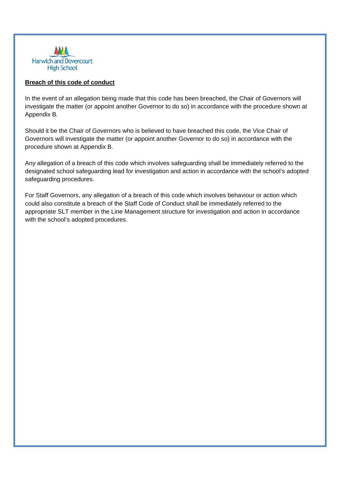

#### **Breach of this code of conduct**

In the event of an allegation being made that this code has been breached, the Chair of Governors will investigate the matter (or appoint another Governor to do so) in accordance with the procedure shown at Appendix B.

Should it be the Chair of Governors who is believed to have breached this code, the Vice Chair of Governors will investigate the matter (or appoint another Governor to do so) in accordance with the procedure shown at Appendix B.

Any allegation of a breach of this code which involves safeguarding shall be immediately referred to the designated school safeguarding lead for investigation and action in accordance with the school's adopted safeguarding procedures.

For Staff Governors, any allegation of a breach of this code which involves behaviour or action which could also constitute a breach of the Staff Code of Conduct shall be immediately referred to the appropriate SLT member in the Line Management structure for investigation and action in accordance with the school's adopted procedures.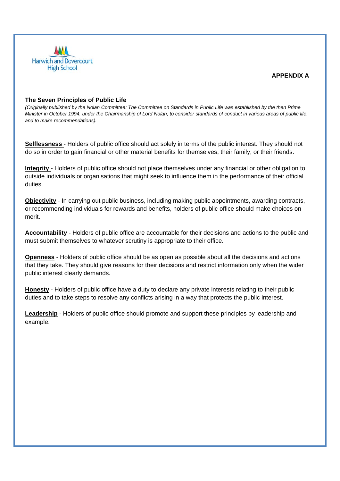

#### **APPENDIX A**

#### **The Seven Principles of Public Life**

*(Originally published by the Nolan Committee: The Committee on Standards in Public Life was established by the then Prime Minister in October 1994, under the Chairmanship of Lord Nolan, to consider standards of conduct in various areas of public life, and to make recommendations).* 

**Selflessness** - Holders of public office should act solely in terms of the public interest. They should not do so in order to gain financial or other material benefits for themselves, their family, or their friends.

**Integrity** - Holders of public office should not place themselves under any financial or other obligation to outside individuals or organisations that might seek to influence them in the performance of their official duties.

**Objectivity** - In carrying out public business, including making public appointments, awarding contracts, or recommending individuals for rewards and benefits, holders of public office should make choices on merit.

**Accountability** - Holders of public office are accountable for their decisions and actions to the public and must submit themselves to whatever scrutiny is appropriate to their office.

**Openness** - Holders of public office should be as open as possible about all the decisions and actions that they take. They should give reasons for their decisions and restrict information only when the wider public interest clearly demands.

**Honesty** - Holders of public office have a duty to declare any private interests relating to their public duties and to take steps to resolve any conflicts arising in a way that protects the public interest.

**Leadership** - Holders of public office should promote and support these principles by leadership and example.